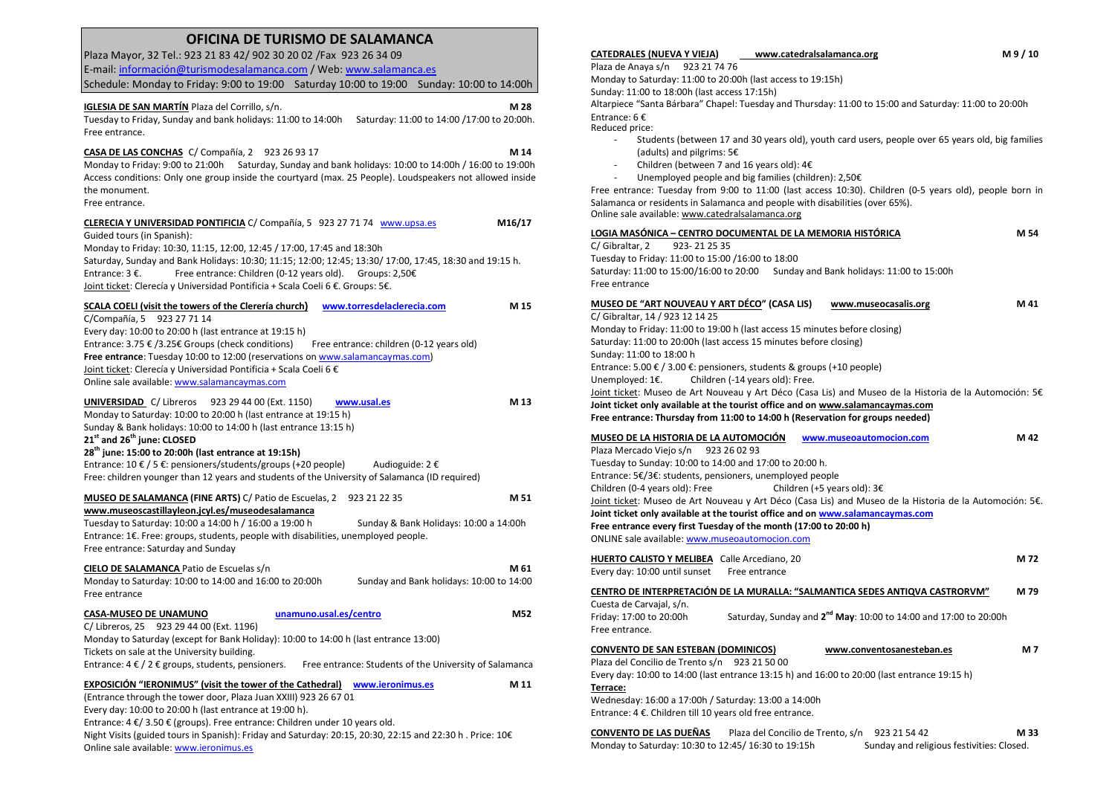## **OFICINA DE TURISMO DE SALAMANCA**

Plaza Mayor, 32 Tel.: 923 21 83 42/ 902 30 20 02 /Fax 923 26 34 09 E-mail: información@turismodesalamanca.com / Web: www.salamanca.es Schedule: Monday to Friday: 9:00 to 19:00 Saturday 10:00 to 19:00 Sunday: 10:00 to 14:00h **IGLESIA DE SAN MARTÍN Plaza del Corrillo, s/n.**  Plaza del Corrillo, s/n. **M 28**  Tuesday to Friday, Sunday and bank holidays: 11:00 to 14:00h Saturday: 11:00 to 14:00 /17:00 to 20:00h. Free entrance. **CASA DE LAS CONCHAS** C/ Compañía, 2 923 26 93 17 **M 14**  Monday to Friday: 9:00 to 21:00h Saturday, Sunday and bank holidays: 10:00 to 14:00h / 16:00 to 19:00h Access conditions: Only one group inside the courtyard (max. 25 People). Loudspeakers not allowed inside the monument. Free entrance. **CLERECIA Y UNIVERSIDAD PONTIFICIA** C/ Compañía, 5 923 27 71 74 www.upsa.es **M16/17**  Guided tours (in Spanish): Monday to Friday: 10:30, 11:15, 12:00, 12:45 / 17:00, 17:45 and 18:30h Saturday, Sunday and Bank Holidays: 10:30; 11:15; 12:00; 12:45; 13:30/ 17:00, 17:45, 18:30 and 19:15 h. Entrance:  $3 \epsilon$ . Free entrance: Children (0-12 years old). Groups: 2,50 $\epsilon$ Joint ticket: Clerecía y Universidad Pontificia + Scala Coeli 6 €. Groups: 5€. **SCALA COELI (visit the towers of the Clerería church) www.torresdelaclerecia.com M 15**  C/Compañía, 5 923 27 71 14 Every day: 10:00 to 20:00 h (last entrance at 19:15 h) Entrance: 3.75 € /3.25€ Groups (check conditions) Free entrance: children (0-12 years old) **Free entrance**: Tuesday 10:00 to 12:00 (reservations on www.salamancaymas.com) Joint ticket: Clerecía y Universidad Pontificia + Scala Coeli 6 € Online sale available: www.salamancaymas.com**UNIVERSIDAD** C/ Libreros 923 29 44 00 (Ext. 1150) **www.usal.es M 13**  Monday to Saturday: 10:00 to 20:00 h (last entrance at 19:15 h) Sunday & Bank holidays: 10:00 to 14:00 h (last entrance 13:15 h) **21st and 26th june: CLOSED 28th june: 15:00 to 20:00h (last entrance at 19:15h)** Entrance:  $10 \in / 5 \in$ : pensioners/students/groups (+20 people) Audioguide:  $2 \in$ Free: children younger than 12 years and students of the University of Salamanca (ID required) **MUSEO DE SALAMANCA (FINE ARTS)** C/ Patio de Escuelas, 2 923 21 22 35 **M 51 www.museoscastillayleon.jcyl.es/museodesalamanca** Tuesday to Saturday: 10:00 a 14:00 h / 16:00 a 19:00 h Sunday & Bank Holidays: 10:00 a 14:00h Entrance: 1€. Free: groups, students, people with disabilities, unemployed people. Free entrance: Saturday and Sunday **CIELO DE SALAMANCA** Patio de Escuelas s/n **M 61 M 61** Monday to Saturday: 10:00 to 14:00 and 16:00 to 20:00h Sunday and Bank holidays: 10:00 to 14:00 Free entrance **CASA-MUSEO DE UNAMUNO unamuno.usal.es/centro M52**  C/ Libreros, 25 923 29 44 00 (Ext. 1196) Monday to Saturday (except for Bank Holiday): 10:00 to 14:00 h (last entrance 13:00) Tickets on sale at the University building. Entrance:  $4 \in / 2 \in$  groups, students, pensioners. Free entrance: Students of the University of Salamanca **EXPOSICIÓN "IERONIMUS" (visit the tower of the Cathedral) www.ieronimus.es M 11**  (Entrance through the tower door, Plaza Juan XXIII) 923 26 67 01 Every day: 10:00 to 20:00 h (last entrance at 19:00 h). Entrance: 4 €/ 3.50 € (groups). Free entrance: Children under 10 years old. Night Visits (guided tours in Spanish): Friday and Saturday: 20:15, 20:30, 22:15 and 22:30 h . Price: 10€

Online sale available: www.ieronimus.es

Sunday: 11:00 to 18:00h (last access 17:15h) Altarpiece "Santa Bárbara" Chapel: Tuesday and Thursday: 11:00 to 15:00 and Saturday: 11:00 to 20:00h Entrance: 6 € Reduced price: - Students (between 17 and 30 years old), youth card users, people over 65 years old, big families -(adults) and pilgrims: 5€ - Children (between 7 and 16 years old): 4€ Unemployed people and big families (children): 2,50€ Free entrance: Tuesday from 9:00 to 11:00 (last access 10:30). Children (0-5 years old), people born in Salamanca or residents in Salamanca and people with disabilities (over 65%). Online sale available: www.catedralsalamanca.org**LOGIA MASÓNICA – CENTRO DOCUMENTAL DE LA MEMORIA HISTÓRICA MELLES DE LA MEMORIA HISTÓRICA MELLES DE LA MELLE DE LA MEMORIA HISTÓRICA DE LA MEMORIA HISTÓRICA DE LA MEMORIA HISTÓRICA DE LA MEMORIA HISTÓRICA DE LA MELLE DE L** C/ Gibraltar, 2 923- 21 25 35 Tuesday to Friday: 11:00 to 15:00 /16:00 to 18:00 Saturday: 11:00 to 15:00/16:00 to 20:00 Sunday and Bank holidays: 11:00 to 15:00h Free entrance **MUSEO DE "ART NOUVEAU Y ART DÉCO" (CASA LIS) www.museocasalis.org M 41** C/ Gibraltar, 14 / 923 12 14 25 Monday to Friday: 11:00 to 19:00 h (last access 15 minutes before closing) Saturday: 11:00 to 20:00h (last access 15 minutes before closing) Sunday: 11:00 to 18:00 h Entrance: 5.00 € / 3.00 €: pensioners, students & groups (+10 people) Unemployed: 1€. Children (-14 years old): Free. Joint ticket: Museo de Art Nouveau y Art Déco (Casa Lis) and Museo de la Historia de la Automoción: 5€ **Joint ticket only available at the tourist office and on www.salamancaymas.com Free entrance: Thursday from 11:00 to 14:00 h (Reservation for groups needed) MUSEO DE LA HISTORIA DE LA AUTOMOCIÓN www.museoautomocion.com M 42**  Plaza Mercado Viejo s/n 923 26 02 93 Tuesday to Sunday: 10:00 to 14:00 and 17:00 to 20:00 h. Entrance: 5€/3€: students, pensioners, unemployed people Children (+5 years old): 3€ Children (0-4 years old): Free J<u>oint ticket</u>: Museo de Art Nouveau y Art Déco (Casa Lis) and Museo de la Historia de la Automoción: 5€. **Joint ticket only available at the tourist office and on www.salamancaymas.comFree entrance every first Tuesday of the month (17:00 to 20:00 h)** ONLINE sale available: www.museoautomocion.com**HUERTO CALISTO Y MELIBEA** Calle Arcediano, 20 **M 72**  Every day: 10:00 until sunset Free entrance **CENTRO DE INTERPRETACIÓN DE LA MURALLA: "SALMANTICA SEDES ANTIQVA CASTRORVM" M 79** Cuesta de Carvajal, s/n.Friday: 17:00 to 20:00h Friday: 17:00 to 20:00h Saturday, Sunday and **2nd May**: 10:00 to 14:00 and 17:00 to 20:00h Free entrance. **CONVENTO DE SAN ESTEBAN (DOMINICOS) www.conventosanesteban.es M 7** Plaza del Concilio de Trento s/n 923 21 50 00 Every day: 10:00 to 14:00 (last entrance 13:15 h) and 16:00 to 20:00 (last entrance 19:15 h) **Terrace:** Wednesday: 16:00 a 17:00h / Saturday: 13:00 a 14:00h Entrance: 4 €. Children till 10 years old free entrance.

**www.catedralsalamanca.org**

**CATEDRALES (NUEVA Y VIEJA)**

Plaza de Anaya s/n 923 21 74 76

Monday to Saturday: 11:00 to 20:00h (last access to 19:15h)

**CONVENTO DE LAS DUEÑAS** Plaza del Concilio de Trento, s/n 923 21 54 42 **M 33** Monday to Saturday: 10:30 to 12:45/16:30 to 19:15h Sunday and religious festivities: Closed.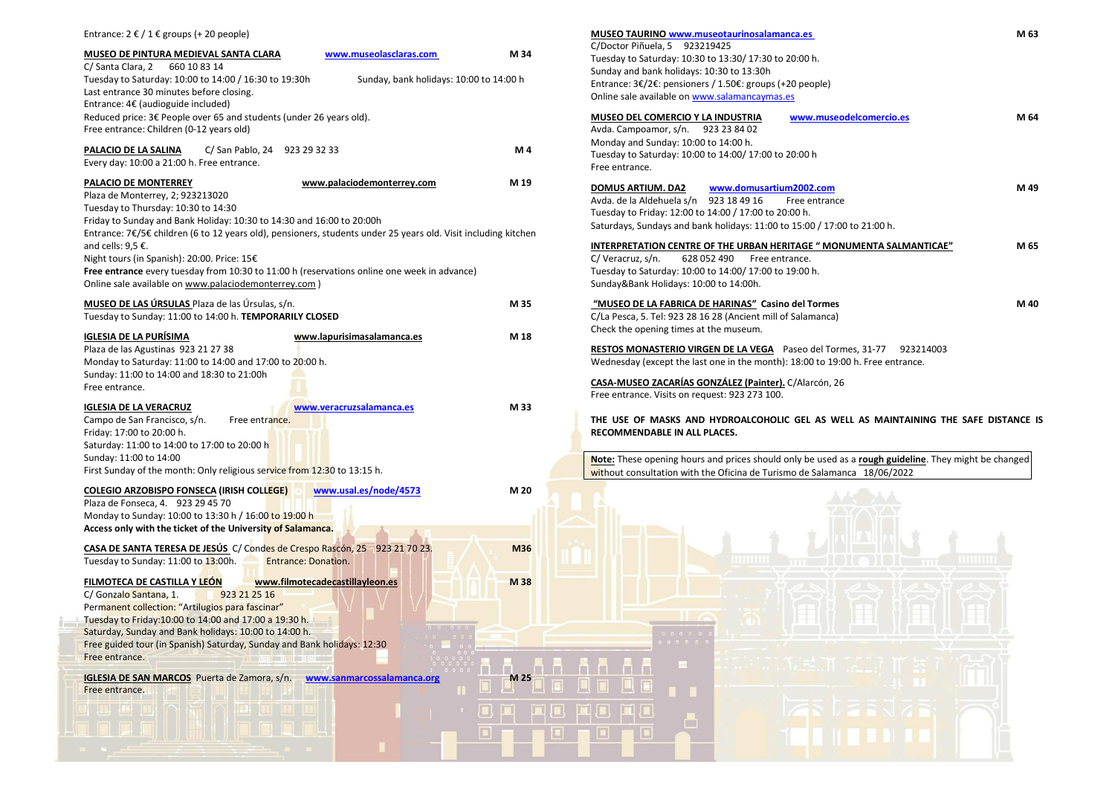| MUSEO DE PINTURA MEDIEVAL SANTA CLARA<br>www.museolasclaras.com<br>C/ Santa Clara, 2<br>660 10 83 14<br>Tuesday to Saturday: 10:00 to 14:00 / 16:30 to 19:30h<br>Sunday, bank holidays: 10:00 to 14:00 h<br>Last entrance 30 minutes before closing.<br>Entrance: 4€ (audioguide included)<br>Reduced price: 3€ People over 65 and students (under 26 years old).<br>Free entrance: Children (0-12 years old)<br>PALACIO DE LA SALINA<br>C/ San Pablo, 24 923 29 32 33<br>Every day: 10:00 a 21:00 h. Free entrance.<br>PALACIO DE MONTERREY<br>www.palaciodemonterrey.com<br>Plaza de Monterrey, 2; 923213020<br>Tuesday to Thursday: 10:30 to 14:30<br>Friday to Sunday and Bank Holiday: 10:30 to 14:30 and 16:00 to 20:00h<br>Entrance: 7€/5€ children (6 to 12 years old), pensioners, students under 25 years old. Visit including kitchen<br>and cells: $9.5 \text{ } \in$ .<br>Night tours (in Spanish): 20:00. Price: 15€<br>Free entrance every tuesday from 10:30 to 11:00 h (reservations online one week in advance) | M 34<br>M 4<br>M 19 | C/Doctor Piñuela, 5 9232<br>Tuesday to Saturday: 10:30<br>Sunday and bank holidays:<br>Entrance: 3€/2€: pensioner<br>Online sale available on wv<br><b>MUSEO DEL COMERCIO Y I</b><br>Avda. Campoamor, s/n.<br>Monday and Sunday: 10:00<br>Tuesday to Saturday: 10:00<br>Free entrance.<br>DOMUS ARTIUM. DA2<br>Avda. de la Aldehuela s/n<br>Tuesday to Friday: 12:00 to |
|-----------------------------------------------------------------------------------------------------------------------------------------------------------------------------------------------------------------------------------------------------------------------------------------------------------------------------------------------------------------------------------------------------------------------------------------------------------------------------------------------------------------------------------------------------------------------------------------------------------------------------------------------------------------------------------------------------------------------------------------------------------------------------------------------------------------------------------------------------------------------------------------------------------------------------------------------------------------------------------------------------------------------------------|---------------------|-------------------------------------------------------------------------------------------------------------------------------------------------------------------------------------------------------------------------------------------------------------------------------------------------------------------------------------------------------------------------|
|                                                                                                                                                                                                                                                                                                                                                                                                                                                                                                                                                                                                                                                                                                                                                                                                                                                                                                                                                                                                                                   |                     |                                                                                                                                                                                                                                                                                                                                                                         |
|                                                                                                                                                                                                                                                                                                                                                                                                                                                                                                                                                                                                                                                                                                                                                                                                                                                                                                                                                                                                                                   |                     |                                                                                                                                                                                                                                                                                                                                                                         |
|                                                                                                                                                                                                                                                                                                                                                                                                                                                                                                                                                                                                                                                                                                                                                                                                                                                                                                                                                                                                                                   |                     |                                                                                                                                                                                                                                                                                                                                                                         |
|                                                                                                                                                                                                                                                                                                                                                                                                                                                                                                                                                                                                                                                                                                                                                                                                                                                                                                                                                                                                                                   |                     |                                                                                                                                                                                                                                                                                                                                                                         |
|                                                                                                                                                                                                                                                                                                                                                                                                                                                                                                                                                                                                                                                                                                                                                                                                                                                                                                                                                                                                                                   |                     |                                                                                                                                                                                                                                                                                                                                                                         |
|                                                                                                                                                                                                                                                                                                                                                                                                                                                                                                                                                                                                                                                                                                                                                                                                                                                                                                                                                                                                                                   |                     |                                                                                                                                                                                                                                                                                                                                                                         |
|                                                                                                                                                                                                                                                                                                                                                                                                                                                                                                                                                                                                                                                                                                                                                                                                                                                                                                                                                                                                                                   |                     |                                                                                                                                                                                                                                                                                                                                                                         |
|                                                                                                                                                                                                                                                                                                                                                                                                                                                                                                                                                                                                                                                                                                                                                                                                                                                                                                                                                                                                                                   |                     |                                                                                                                                                                                                                                                                                                                                                                         |
|                                                                                                                                                                                                                                                                                                                                                                                                                                                                                                                                                                                                                                                                                                                                                                                                                                                                                                                                                                                                                                   |                     |                                                                                                                                                                                                                                                                                                                                                                         |
|                                                                                                                                                                                                                                                                                                                                                                                                                                                                                                                                                                                                                                                                                                                                                                                                                                                                                                                                                                                                                                   |                     | Saturdays, Sundays and bar                                                                                                                                                                                                                                                                                                                                              |
|                                                                                                                                                                                                                                                                                                                                                                                                                                                                                                                                                                                                                                                                                                                                                                                                                                                                                                                                                                                                                                   |                     |                                                                                                                                                                                                                                                                                                                                                                         |
|                                                                                                                                                                                                                                                                                                                                                                                                                                                                                                                                                                                                                                                                                                                                                                                                                                                                                                                                                                                                                                   |                     | <b>INTERPRETATION CENTRE</b>                                                                                                                                                                                                                                                                                                                                            |
|                                                                                                                                                                                                                                                                                                                                                                                                                                                                                                                                                                                                                                                                                                                                                                                                                                                                                                                                                                                                                                   |                     | C/Veracruz, s/n.<br>628 <sub>C</sub><br>Tuesday to Saturday: 10:00                                                                                                                                                                                                                                                                                                      |
| Online sale available on www.palaciodemonterrey.com)                                                                                                                                                                                                                                                                                                                                                                                                                                                                                                                                                                                                                                                                                                                                                                                                                                                                                                                                                                              |                     | Sunday&Bank Holidays: 10:                                                                                                                                                                                                                                                                                                                                               |
|                                                                                                                                                                                                                                                                                                                                                                                                                                                                                                                                                                                                                                                                                                                                                                                                                                                                                                                                                                                                                                   |                     |                                                                                                                                                                                                                                                                                                                                                                         |
| MUSEO DE LAS ÚRSULAS Plaza de las Úrsulas, s/n.                                                                                                                                                                                                                                                                                                                                                                                                                                                                                                                                                                                                                                                                                                                                                                                                                                                                                                                                                                                   | M 35                | "MUSEO DE LA FABRICA D                                                                                                                                                                                                                                                                                                                                                  |
| Tuesday to Sunday: 11:00 to 14:00 h. TEMPORARILY CLOSED                                                                                                                                                                                                                                                                                                                                                                                                                                                                                                                                                                                                                                                                                                                                                                                                                                                                                                                                                                           |                     | C/La Pesca, 5. Tel: 923 28 1                                                                                                                                                                                                                                                                                                                                            |
| <b>IGLESIA DE LA PURÍSIMA</b><br>www.lapurisimasalamanca.es                                                                                                                                                                                                                                                                                                                                                                                                                                                                                                                                                                                                                                                                                                                                                                                                                                                                                                                                                                       | M 18                | Check the opening times at                                                                                                                                                                                                                                                                                                                                              |
| Plaza de las Agustinas 923 21 27 38                                                                                                                                                                                                                                                                                                                                                                                                                                                                                                                                                                                                                                                                                                                                                                                                                                                                                                                                                                                               |                     | <b>RESTOS MONASTERIO VIR</b>                                                                                                                                                                                                                                                                                                                                            |
| Monday to Saturday: 11:00 to 14:00 and 17:00 to 20:00 h.                                                                                                                                                                                                                                                                                                                                                                                                                                                                                                                                                                                                                                                                                                                                                                                                                                                                                                                                                                          |                     | Wednesday (except the las                                                                                                                                                                                                                                                                                                                                               |
| Sunday: 11:00 to 14:00 and 18:30 to 21:00h                                                                                                                                                                                                                                                                                                                                                                                                                                                                                                                                                                                                                                                                                                                                                                                                                                                                                                                                                                                        |                     |                                                                                                                                                                                                                                                                                                                                                                         |
| Free entrance.                                                                                                                                                                                                                                                                                                                                                                                                                                                                                                                                                                                                                                                                                                                                                                                                                                                                                                                                                                                                                    |                     | <b>CASA-MUSEO ZACARÍAS G</b>                                                                                                                                                                                                                                                                                                                                            |
|                                                                                                                                                                                                                                                                                                                                                                                                                                                                                                                                                                                                                                                                                                                                                                                                                                                                                                                                                                                                                                   |                     | Free entrance. Visits on rec                                                                                                                                                                                                                                                                                                                                            |
| <b>IGLESIA DE LA VERACRUZ</b><br>www.veracruzsalamanca.es<br>Campo de San Francisco, s/n.<br>Free entrance.                                                                                                                                                                                                                                                                                                                                                                                                                                                                                                                                                                                                                                                                                                                                                                                                                                                                                                                       | M 33                | THE USE OF MASKS AND                                                                                                                                                                                                                                                                                                                                                    |
| Friday: 17:00 to 20:00 h.                                                                                                                                                                                                                                                                                                                                                                                                                                                                                                                                                                                                                                                                                                                                                                                                                                                                                                                                                                                                         |                     | RECOMMENDABLE IN ALL                                                                                                                                                                                                                                                                                                                                                    |
| Saturday: 11:00 to 14:00 to 17:00 to 20:00 h                                                                                                                                                                                                                                                                                                                                                                                                                                                                                                                                                                                                                                                                                                                                                                                                                                                                                                                                                                                      |                     |                                                                                                                                                                                                                                                                                                                                                                         |
| Sunday: 11:00 to 14:00                                                                                                                                                                                                                                                                                                                                                                                                                                                                                                                                                                                                                                                                                                                                                                                                                                                                                                                                                                                                            |                     | Note: These opening hours                                                                                                                                                                                                                                                                                                                                               |
| First Sunday of the month: Only religious service from 12:30 to 13:15 h.                                                                                                                                                                                                                                                                                                                                                                                                                                                                                                                                                                                                                                                                                                                                                                                                                                                                                                                                                          |                     | without consultation with t                                                                                                                                                                                                                                                                                                                                             |
| <b>COLEGIO ARZOBISPO FONSECA (IRISH COLLEGE)</b><br>www.usal.es/node/4573                                                                                                                                                                                                                                                                                                                                                                                                                                                                                                                                                                                                                                                                                                                                                                                                                                                                                                                                                         | M 20                |                                                                                                                                                                                                                                                                                                                                                                         |
| Plaza de Fonseca, 4. 923 29 45 70                                                                                                                                                                                                                                                                                                                                                                                                                                                                                                                                                                                                                                                                                                                                                                                                                                                                                                                                                                                                 |                     |                                                                                                                                                                                                                                                                                                                                                                         |
| Monday to Sunday: 10:00 to 13:30 h / 16:00 to 19:00 h                                                                                                                                                                                                                                                                                                                                                                                                                                                                                                                                                                                                                                                                                                                                                                                                                                                                                                                                                                             |                     |                                                                                                                                                                                                                                                                                                                                                                         |
| Access only with the ticket of the University of Salamanca.                                                                                                                                                                                                                                                                                                                                                                                                                                                                                                                                                                                                                                                                                                                                                                                                                                                                                                                                                                       |                     |                                                                                                                                                                                                                                                                                                                                                                         |
| CASA DE SANTA TERESA DE JESÚS C/ Condes de Crespo Rascón, 25 923 21 70 23.                                                                                                                                                                                                                                                                                                                                                                                                                                                                                                                                                                                                                                                                                                                                                                                                                                                                                                                                                        | M36                 |                                                                                                                                                                                                                                                                                                                                                                         |
| Tuesday to Sunday: 11:00 to 13:00h.<br>Entrance: Donation.                                                                                                                                                                                                                                                                                                                                                                                                                                                                                                                                                                                                                                                                                                                                                                                                                                                                                                                                                                        |                     |                                                                                                                                                                                                                                                                                                                                                                         |
| FILMOTECA DE CASTILLA Y LEÓN<br>www.filmotecadecastillayleon.es                                                                                                                                                                                                                                                                                                                                                                                                                                                                                                                                                                                                                                                                                                                                                                                                                                                                                                                                                                   | M 38                |                                                                                                                                                                                                                                                                                                                                                                         |
| C/ Gonzalo Santana, 1.<br>923 21 25 16                                                                                                                                                                                                                                                                                                                                                                                                                                                                                                                                                                                                                                                                                                                                                                                                                                                                                                                                                                                            |                     |                                                                                                                                                                                                                                                                                                                                                                         |
| Permanent collection: "Artilugios para fascinar"                                                                                                                                                                                                                                                                                                                                                                                                                                                                                                                                                                                                                                                                                                                                                                                                                                                                                                                                                                                  |                     |                                                                                                                                                                                                                                                                                                                                                                         |
| Tuesday to Friday:10:00 to 14:00 and 17:00 a 19:30 h.                                                                                                                                                                                                                                                                                                                                                                                                                                                                                                                                                                                                                                                                                                                                                                                                                                                                                                                                                                             |                     |                                                                                                                                                                                                                                                                                                                                                                         |
| Saturday, Sunday and Bank holidays: 10:00 to 14:00 h.                                                                                                                                                                                                                                                                                                                                                                                                                                                                                                                                                                                                                                                                                                                                                                                                                                                                                                                                                                             |                     | $\begin{array}{ccccccccc} &\circ &\circ &\circ &\circ &\circ &\circ\\ &\circ &\circ &\circ &\circ &\circ &\circ\end{array}$                                                                                                                                                                                                                                             |
| Free guided tour (in Spanish) Saturday, Sunday and Bank holidays: 12:30                                                                                                                                                                                                                                                                                                                                                                                                                                                                                                                                                                                                                                                                                                                                                                                                                                                                                                                                                           |                     |                                                                                                                                                                                                                                                                                                                                                                         |
| Free entrance.<br>$  \cdot   =   \cdot   \cdot   \cdot  $                                                                                                                                                                                                                                                                                                                                                                                                                                                                                                                                                                                                                                                                                                                                                                                                                                                                                                                                                                         |                     |                                                                                                                                                                                                                                                                                                                                                                         |
| IGLESIA DE SAN MARCOS Puerta de Zamora, s/n.<br>www.sanmarcossalamanca.org<br>Œ<br>Free entrance.                                                                                                                                                                                                                                                                                                                                                                                                                                                                                                                                                                                                                                                                                                                                                                                                                                                                                                                                 | M 25                |                                                                                                                                                                                                                                                                                                                                                                         |
|                                                                                                                                                                                                                                                                                                                                                                                                                                                                                                                                                                                                                                                                                                                                                                                                                                                                                                                                                                                                                                   |                     |                                                                                                                                                                                                                                                                                                                                                                         |
|                                                                                                                                                                                                                                                                                                                                                                                                                                                                                                                                                                                                                                                                                                                                                                                                                                                                                                                                                                                                                                   |                     | <b>In the </b>                                                                                                                                                                                                                                                                                                                                                          |
|                                                                                                                                                                                                                                                                                                                                                                                                                                                                                                                                                                                                                                                                                                                                                                                                                                                                                                                                                                                                                                   |                     |                                                                                                                                                                                                                                                                                                                                                                         |

| MUSEO TAURINO www.museotaurinosalamanca.es<br>C/Doctor Piñuela, 5<br>923219425<br>Tuesday to Saturday: 10:30 to 13:30/ 17:30 to 20:00 h.<br>Sunday and bank holidays: 10:30 to 13:30h<br>Entrance: 3€/2€: pensioners / 1.50€: groups (+20 people)<br>Online sale available on www.salamancaymas.es                                                                                                                                                                                                                                                                  | M 63 |
|---------------------------------------------------------------------------------------------------------------------------------------------------------------------------------------------------------------------------------------------------------------------------------------------------------------------------------------------------------------------------------------------------------------------------------------------------------------------------------------------------------------------------------------------------------------------|------|
| <u>MUSEO DEL COMERCIO Y LA INDUSTRIA</u><br>www.museodelcomercio.es<br>Avda. Campoamor, s/n.<br>923 23 84 02<br>Monday and Sunday: 10:00 to 14:00 h.<br>Tuesday to Saturday: 10:00 to 14:00/ 17:00 to 20:00 h<br>Free entrance.                                                                                                                                                                                                                                                                                                                                     | M 64 |
| www.domusartium2002.com<br>DOMUS ARTIUM. DA2<br>Avda. de la Aldehuela s/n<br>923 18 49 16<br>Free entrance<br>Tuesday to Friday: 12:00 to 14:00 / 17:00 to 20:00 h.<br>Saturdays, Sundays and bank holidays: 11:00 to 15:00 / 17:00 to 21:00 h.                                                                                                                                                                                                                                                                                                                     | M 49 |
| <u>INTERPRETATION CENTRE OF THE URBAN HERITAGE " MONUMENTA SALMANTICAE"</u><br>C/ Veracruz, s/n.<br>628 052 490<br>Free entrance.<br>Tuesday to Saturday: 10:00 to 14:00/ 17:00 to 19:00 h.<br>Sunday&Bank Holidays: 10:00 to 14:00h.                                                                                                                                                                                                                                                                                                                               | M 65 |
| "MUSEO DE LA FABRICA DE HARINAS" Casino del Tormes<br>C/La Pesca, 5. Tel: 923 28 16 28 (Ancient mill of Salamanca)<br>Check the opening times at the museum.<br>RESTOS MONASTERIO VIRGEN DE LA VEGA Paseo del Tormes, 31-77<br>923214003<br>Wednesday (except the last one in the month): 18:00 to 19:00 h. Free entrance.<br><b>CASA-MUSEO ZACARÍAS GONZÁLEZ (Painter).</b> C/Alarcón, 26<br>Free entrance. Visits on request: 923 273 100.<br>THE USE OF MASKS AND HYDROALCOHOLIC GEL AS WELL AS MAINTAINING THE SAFE DISTANCE IS<br>RECOMMENDABLE IN ALL PLACES. | M 40 |
| Note: These opening hours and prices should only be used as a rough guideline. They might be changed<br>without consultation with the Oficina de Turismo de Salamanca 18/06/2022<br>$0$ 0 0 0 0 0<br>H<br>Π.<br>$\Box$<br>O<br>$\Box$<br>$\Box$<br>H<br>$\Box$                                                                                                                                                                                                                                                                                                      |      |